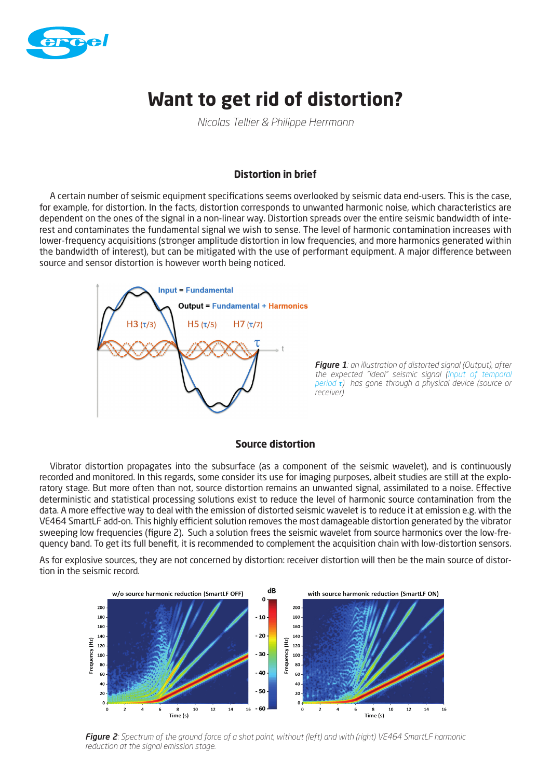

# **Want to get rid of distortion?**

*Nicolas Tellier & Philippe Herrmann*

## **Distortion in brief**

A certain number of seismic equipment specifications seems overlooked by seismic data end-users. This is the case, for example, for distortion. In the facts, distortion corresponds to unwanted harmonic noise, which characteristics are dependent on the ones of the signal in a non-linear way. Distortion spreads over the entire seismic bandwidth of interest and contaminates the fundamental signal we wish to sense. The level of harmonic contamination increases with lower-frequency acquisitions (stronger amplitude distortion in low frequencies, and more harmonics generated within the bandwidth of interest), but can be mitigated with the use of performant equipment. A major difference between source and sensor distortion is however worth being noticed.



*Figure 1: an illustration of distorted signal (Output), after the expected "ideal" seismic signal (Input of temporal period τ) has gone through a physical device (source or receiver)*

#### **Source distortion**

Vibrator distortion propagates into the subsurface (as a component of the seismic wavelet), and is continuously recorded and monitored. In this regards, some consider its use for imaging purposes, albeit studies are still at the exploratory stage. But more often than not, source distortion remains an unwanted signal, assimilated to a noise. Effective deterministic and statistical processing solutions exist to reduce the level of harmonic source contamination from the data. A more effective way to deal with the emission of distorted seismic wavelet is to reduce it at emission e.g. with the VE464 SmartLF add-on. This highly efficient solution removes the most damageable distortion generated by the vibrator sweeping low frequencies (figure 2). Such a solution frees the seismic wavelet from source harmonics over the low-frequency band. To get its full benefit, it is recommended to complement the acquisition chain with low-distortion sensors.

As for explosive sources, they are not concerned by distortion: receiver distortion will then be the main source of distortion in the seismic record.



*Figure 2: Spectrum of the ground force of a shot point, without (left) and with (right) VE464 SmartLF harmonic reduction at the signal emission stage.*